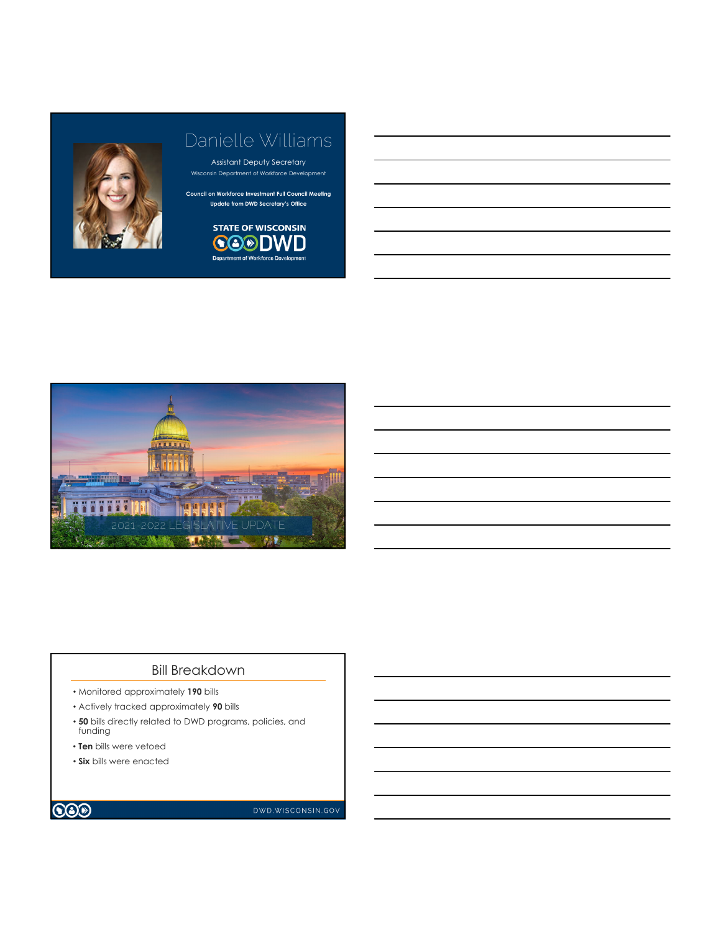

## Danielle Williams

Assistant Deputy Secretary nsin Department of Workforce Development

**Council on Workforce Investment Full Council Meeting Update from DWD Secretary's Office**





## Bill Breakdown

- Monitored approximately **190** bills
- Actively tracked approximately **90** bills
- **50** bills directly related to DWD programs, policies, and funding
- **Ten** bills were vetoed
- **Six** bills were enacted



DWD.WISCONSIN.GOV